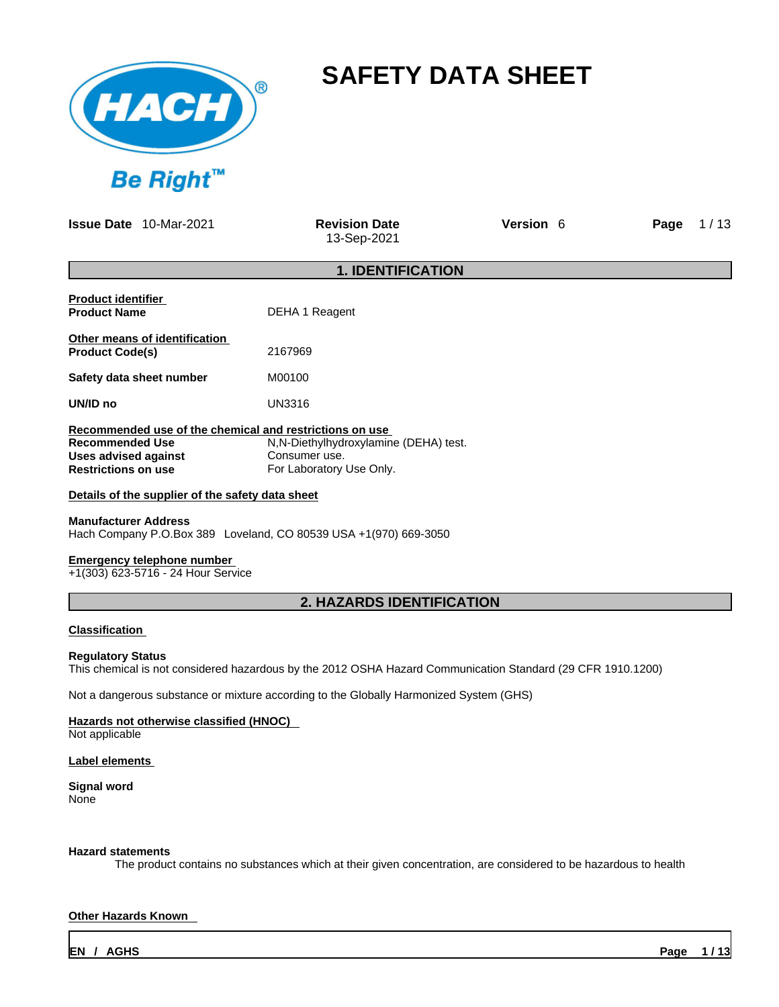

# **SAFETY DATA SHEET**

**Issue Date** 10-Mar-2021 **Revision Date** 

13-Sep-2021

**Version 6 <b>Page**  $1/13$ 

## **1. IDENTIFICATION**

| <b>Product identifier</b><br><b>Product Name</b>        | DEHA 1 Reagent                         |
|---------------------------------------------------------|----------------------------------------|
| Other means of identification<br><b>Product Code(s)</b> | 2167969                                |
| Safety data sheet number                                | M00100                                 |
| UN/ID no                                                | UN3316                                 |
| Recommended use of the chemical and restrictions on use |                                        |
| <b>Recommended Use</b>                                  | N, N-Diethylhydroxylamine (DEHA) test. |
| Uses advised against                                    | Consumer use.                          |
| <b>Restrictions on use</b>                              | For Laboratory Use Only.               |

**Details of the supplier of the safety data sheet**

## **Manufacturer Address**

Hach Company P.O.Box 389 Loveland, CO 80539 USA +1(970) 669-3050

### **Emergency telephone number**

+1(303) 623-5716 - 24 Hour Service

## **2. HAZARDS IDENTIFICATION**

### **Classification**

### **Regulatory Status**

This chemical is not considered hazardous by the 2012 OSHA Hazard Communication Standard (29 CFR 1910.1200)

Not a dangerous substance or mixture according to the Globally Harmonized System (GHS)

### **Hazards not otherwise classified (HNOC)**

Not applicable

### **Label elements**

**Signal word** None

### **Hazard statements**

The product contains no substances which at their given concentration, are considered to be hazardous to health

### **Other Hazards Known**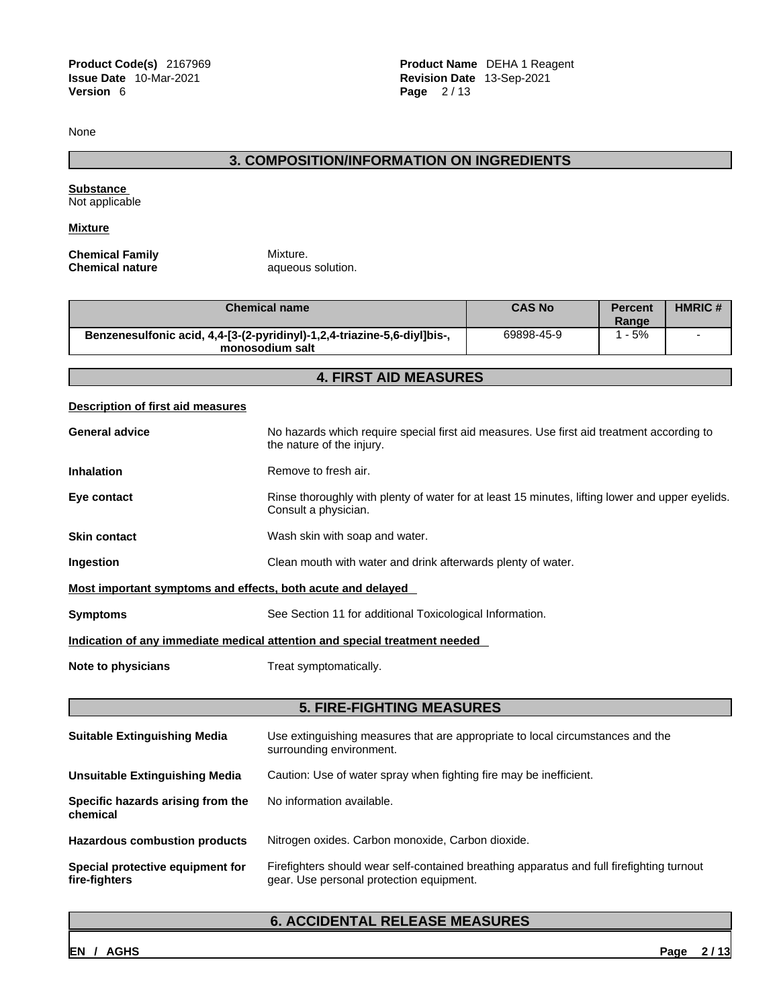**Product Code(s)** 2167969 **Product Name** DEHA 1 Reagent **Issue Date** 10-Mar-2021 **Revision Date** 13-Sep-2021 **Page**  $2 / 13$ 

None

## **3. COMPOSITION/INFORMATION ON INGREDIENTS**

**Substance**  Not applicable

**Mixture**

**Chemical Family Mixture.**<br> **Chemical nature All additional analysis of the All additional All analysis of the All and All and All and All and All and All and All and All and All and All and All and All and All and All** 

**Chemical nature** aqueous solution.

| <b>Chemical name</b>                                                                        | <b>CAS No</b> | <b>Percent</b><br>Range | <b>HMRIC#</b> |
|---------------------------------------------------------------------------------------------|---------------|-------------------------|---------------|
| Benzenesulfonic acid, 4,4-[3-(2-pyridinyl)-1,2,4-triazine-5,6-diyl]bis-,<br>monosodium salt | 69898-45-9    | $-5%$                   |               |

## **4. FIRST AID MEASURES**

### **Description of first aid measures**

|                                                             | <b>5. FIRE-FIGHTING MEASURES</b>                                                                                        |
|-------------------------------------------------------------|-------------------------------------------------------------------------------------------------------------------------|
|                                                             |                                                                                                                         |
| Note to physicians                                          | Treat symptomatically.                                                                                                  |
|                                                             | Indication of any immediate medical attention and special treatment needed                                              |
| <b>Symptoms</b>                                             | See Section 11 for additional Toxicological Information.                                                                |
| Most important symptoms and effects, both acute and delayed |                                                                                                                         |
| Ingestion                                                   | Clean mouth with water and drink afterwards plenty of water.                                                            |
| <b>Skin contact</b>                                         | Wash skin with soap and water.                                                                                          |
| Eye contact                                                 | Rinse thoroughly with plenty of water for at least 15 minutes, lifting lower and upper eyelids.<br>Consult a physician. |
| <b>Inhalation</b>                                           | Remove to fresh air.                                                                                                    |
| <b>General advice</b>                                       | No hazards which require special first aid measures. Use first aid treatment according to<br>the nature of the injury.  |
|                                                             |                                                                                                                         |

| <b>Suitable Extinguishing Media</b>               | Use extinguishing measures that are appropriate to local circumstances and the<br>surrounding environment.                            |
|---------------------------------------------------|---------------------------------------------------------------------------------------------------------------------------------------|
| Unsuitable Extinguishing Media                    | Caution: Use of water spray when fighting fire may be inefficient.                                                                    |
| Specific hazards arising from the<br>chemical     | No information available.                                                                                                             |
| <b>Hazardous combustion products</b>              | Nitrogen oxides. Carbon monoxide, Carbon dioxide.                                                                                     |
| Special protective equipment for<br>fire-fighters | Firefighters should wear self-contained breathing apparatus and full firefighting turnout<br>gear. Use personal protection equipment. |

## **6. ACCIDENTAL RELEASE MEASURES**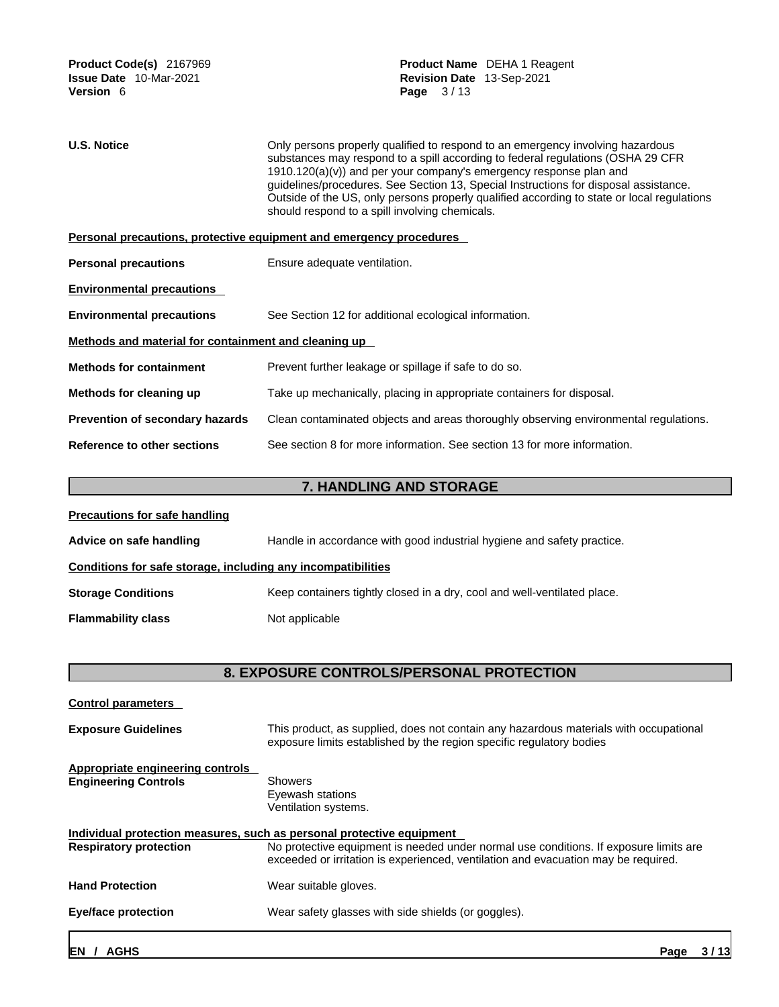| <b>U.S. Notice</b>                                   | Only persons properly qualified to respond to an emergency involving hazardous                                                                                                                                                                                                                                                                                                                 |  |  |  |
|------------------------------------------------------|------------------------------------------------------------------------------------------------------------------------------------------------------------------------------------------------------------------------------------------------------------------------------------------------------------------------------------------------------------------------------------------------|--|--|--|
|                                                      | substances may respond to a spill according to federal regulations (OSHA 29 CFR<br>$1910.120(a)(v)$ and per your company's emergency response plan and<br>guidelines/procedures. See Section 13, Special Instructions for disposal assistance.<br>Outside of the US, only persons properly qualified according to state or local regulations<br>should respond to a spill involving chemicals. |  |  |  |
|                                                      | Personal precautions, protective equipment and emergency procedures                                                                                                                                                                                                                                                                                                                            |  |  |  |
| <b>Personal precautions</b>                          | Ensure adequate ventilation.                                                                                                                                                                                                                                                                                                                                                                   |  |  |  |
| <b>Environmental precautions</b>                     |                                                                                                                                                                                                                                                                                                                                                                                                |  |  |  |
| <b>Environmental precautions</b>                     | See Section 12 for additional ecological information.                                                                                                                                                                                                                                                                                                                                          |  |  |  |
| Methods and material for containment and cleaning up |                                                                                                                                                                                                                                                                                                                                                                                                |  |  |  |
| <b>Methods for containment</b>                       | Prevent further leakage or spillage if safe to do so.                                                                                                                                                                                                                                                                                                                                          |  |  |  |
| Methods for cleaning up                              | Take up mechanically, placing in appropriate containers for disposal.                                                                                                                                                                                                                                                                                                                          |  |  |  |
| Prevention of secondary hazards                      | Clean contaminated objects and areas thoroughly observing environmental regulations.                                                                                                                                                                                                                                                                                                           |  |  |  |
| Reference to other sections                          | See section 8 for more information. See section 13 for more information.                                                                                                                                                                                                                                                                                                                       |  |  |  |

## **7. HANDLING AND STORAGE**

| <b>Precautions for safe handling</b>                         |                                                                          |
|--------------------------------------------------------------|--------------------------------------------------------------------------|
| Advice on safe handling                                      | Handle in accordance with good industrial hygiene and safety practice.   |
| Conditions for safe storage, including any incompatibilities |                                                                          |
| <b>Storage Conditions</b>                                    | Keep containers tightly closed in a dry, cool and well-ventilated place. |
| <b>Flammability class</b>                                    | Not applicable                                                           |

## **8. EXPOSURE CONTROLS/PERSONAL PROTECTION**

| <b>Control parameters</b>                                       |                                                                                                                                                                             |
|-----------------------------------------------------------------|-----------------------------------------------------------------------------------------------------------------------------------------------------------------------------|
| <b>Exposure Guidelines</b>                                      | This product, as supplied, does not contain any hazardous materials with occupational<br>exposure limits established by the region specific regulatory bodies               |
| Appropriate engineering controls<br><b>Engineering Controls</b> | <b>Showers</b><br>Eyewash stations<br>Ventilation systems.                                                                                                                  |
|                                                                 | Individual protection measures, such as personal protective equipment                                                                                                       |
| <b>Respiratory protection</b>                                   | No protective equipment is needed under normal use conditions. If exposure limits are<br>exceeded or irritation is experienced, ventilation and evacuation may be required. |
| <b>Hand Protection</b>                                          | Wear suitable gloves.                                                                                                                                                       |
| <b>Eye/face protection</b>                                      | Wear safety glasses with side shields (or goggles).                                                                                                                         |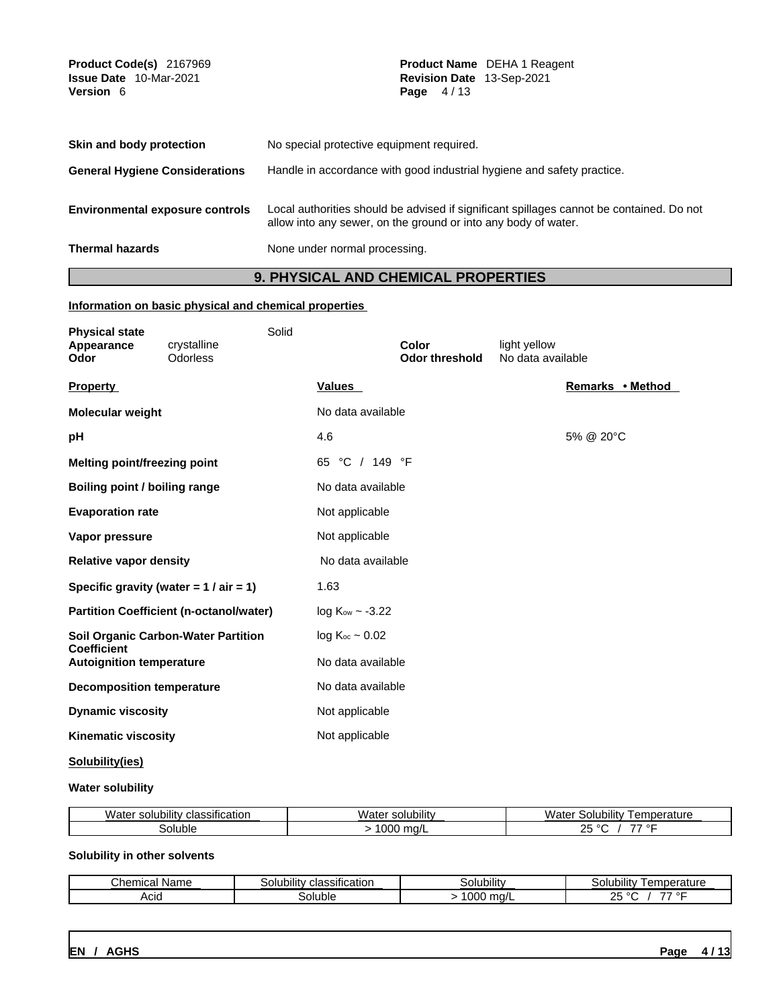| Product Code(s) 2167969<br><b>Issue Date</b> 10-Mar-2021<br><b>Version 6</b> | <b>Product Name</b> DEHA 1 Reagent<br><b>Revision Date 13-Sep-2021</b><br>Page $4/13$                                                                      |
|------------------------------------------------------------------------------|------------------------------------------------------------------------------------------------------------------------------------------------------------|
| Skin and body protection                                                     | No special protective equipment required.                                                                                                                  |
| <b>General Hygiene Considerations</b>                                        | Handle in accordance with good industrial hygiene and safety practice.                                                                                     |
| <b>Environmental exposure controls</b>                                       | Local authorities should be advised if significant spillages cannot be contained. Do not<br>allow into any sewer, on the ground or into any body of water. |
| <b>Thermal hazards</b>                                                       | None under normal processing.                                                                                                                              |

## **9. PHYSICAL AND CHEMICAL PROPERTIES**

### **Information on basic physical and chemical properties**

| <b>Physical state</b><br>Appearance<br>Odor           | crystalline<br>Odorless                        | Solid |                        | Color<br><b>Odor threshold</b> | light yellow<br>No data available |           |                  |  |
|-------------------------------------------------------|------------------------------------------------|-------|------------------------|--------------------------------|-----------------------------------|-----------|------------------|--|
| <b>Property</b>                                       |                                                |       | <b>Values</b>          |                                |                                   |           | Remarks • Method |  |
| Molecular weight                                      |                                                |       | No data available      |                                |                                   |           |                  |  |
| рH                                                    |                                                |       | 4.6                    |                                |                                   | 5% @ 20°C |                  |  |
| Melting point/freezing point                          |                                                |       | 65 °C / 149 °F         |                                |                                   |           |                  |  |
| Boiling point / boiling range                         |                                                |       | No data available      |                                |                                   |           |                  |  |
| <b>Evaporation rate</b>                               |                                                |       | Not applicable         |                                |                                   |           |                  |  |
| Vapor pressure                                        |                                                |       | Not applicable         |                                |                                   |           |                  |  |
| <b>Relative vapor density</b>                         |                                                |       | No data available      |                                |                                   |           |                  |  |
|                                                       | Specific gravity (water = $1 / air = 1$ )      |       | 1.63                   |                                |                                   |           |                  |  |
|                                                       | <b>Partition Coefficient (n-octanol/water)</b> |       | $log Kow \sim -3.22$   |                                |                                   |           |                  |  |
|                                                       | Soil Organic Carbon-Water Partition            |       | $log K_{oc} \sim 0.02$ |                                |                                   |           |                  |  |
| <b>Coefficient</b><br><b>Autoignition temperature</b> |                                                |       | No data available      |                                |                                   |           |                  |  |
| <b>Decomposition temperature</b>                      |                                                |       | No data available      |                                |                                   |           |                  |  |
| <b>Dynamic viscosity</b>                              |                                                |       | Not applicable         |                                |                                   |           |                  |  |
| <b>Kinematic viscosity</b>                            |                                                |       | Not applicable         |                                |                                   |           |                  |  |
| - - - - - - - -                                       |                                                |       |                        |                                |                                   |           |                  |  |

## **Solubility(ies)**

### **Water solubility**

| $\cdots$<br><br>.<br>Water<br><b>classification</b><br>solubility | Mz<br>$\cdots$<br>solubility<br>ater | <br>emperature<br>Solubility<br>Wate                  |
|-------------------------------------------------------------------|--------------------------------------|-------------------------------------------------------|
| soluble                                                           | 1000<br>ma/l                         | $- -$<br>$\circ$ $\blacksquare$<br>$-$<br>$\sim$<br>∼ |

### **Solubility in other solvents**

| Chemical 1<br>Name | .<br>$\cdots$<br>classification<br>30lubilitv | <br>Solubility | .<br>emperature<br>Solubility                                         |
|--------------------|-----------------------------------------------|----------------|-----------------------------------------------------------------------|
| Acic               | uhla<br>oluble'                               | 000<br>ma/L    | $\circ$ $\blacksquare$<br>$\sim$ $-$<br>--<br>$\sim$<br>$ \mathbf{v}$ |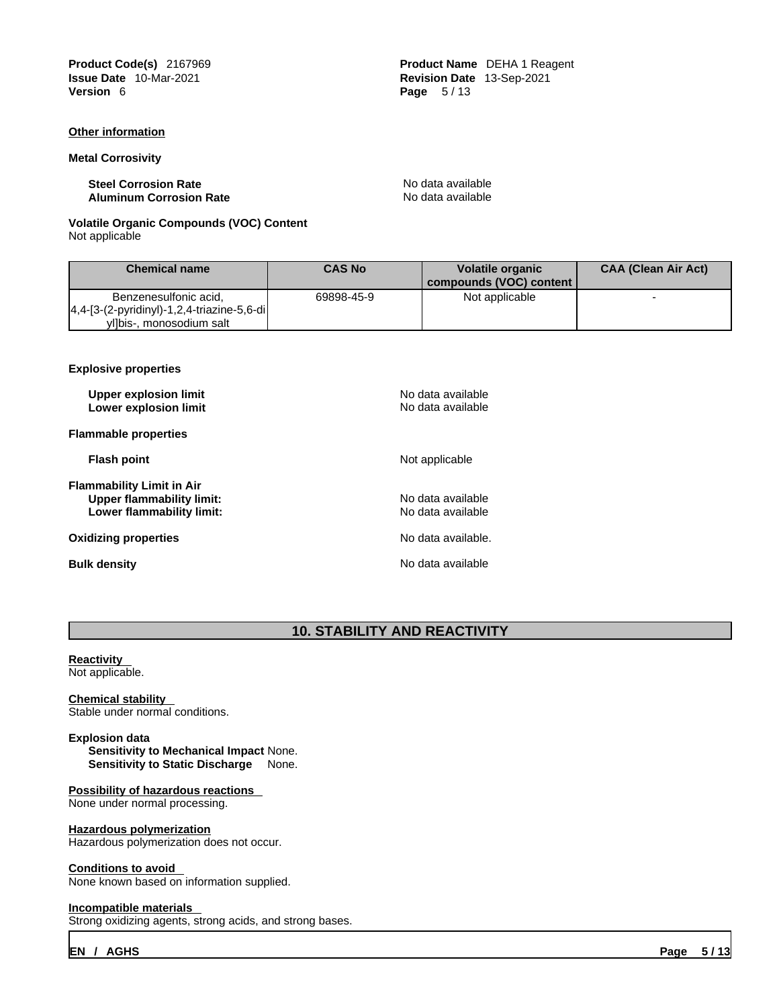**Product Code(s)** 2167969 **Product Name** DEHA 1 Reagent **Issue Date** 10-Mar-2021 **Revision Date** 13-Sep-2021

### **Other information**

#### **Metal Corrosivity**

**Steel Corrosion Rate**<br> **Aluminum Corrosion Rate** No data available<br> **Aluminum Corrosion Rate Aluminum Corrosion Rate** 

**Page**  $5/13$ 

### **Volatile Organic Compounds (VOC) Content** Not applicable

| <b>Chemical name</b>                                                    | <b>CAS No</b> | <b>Volatile organic</b><br>compounds (VOC) content | <b>CAA (Clean Air Act)</b> |
|-------------------------------------------------------------------------|---------------|----------------------------------------------------|----------------------------|
| Benzenesulfonic acid,<br>$ 4,4-[3-(2-pyridinyl)-1,2,4-triazine-5,6-di $ | 69898-45-9    | Not applicable                                     |                            |
| yl]bis-, monosodium salt                                                |               |                                                    |                            |

#### **Explosive properties**

| <b>Upper explosion limit</b><br>Lower explosion limit                                      | No data available<br>No data available |
|--------------------------------------------------------------------------------------------|----------------------------------------|
| <b>Flammable properties</b>                                                                |                                        |
| <b>Flash point</b>                                                                         | Not applicable                         |
| Flammability Limit in Air<br><b>Upper flammability limit:</b><br>Lower flammability limit: | No data available<br>No data available |
| Oxidizing properties                                                                       | No data available.                     |
| <b>Bulk density</b>                                                                        | No data available                      |

## **10. STABILITY AND REACTIVITY**

#### **Reactivity**  Not applicable.

### **Chemical stability**  Stable under normal conditions.

### **Explosion data**

**Sensitivity to Mechanical Impact** None. **Sensitivity to Static Discharge** None.

### **Possibility of hazardous reactions**  None under normal processing.

### **Hazardous polymerization**

Hazardous polymerization does not occur.

### **Conditions to avoid**

None known based on information supplied.

#### **Incompatible materials**

Strong oxidizing agents, strong acids, and strong bases.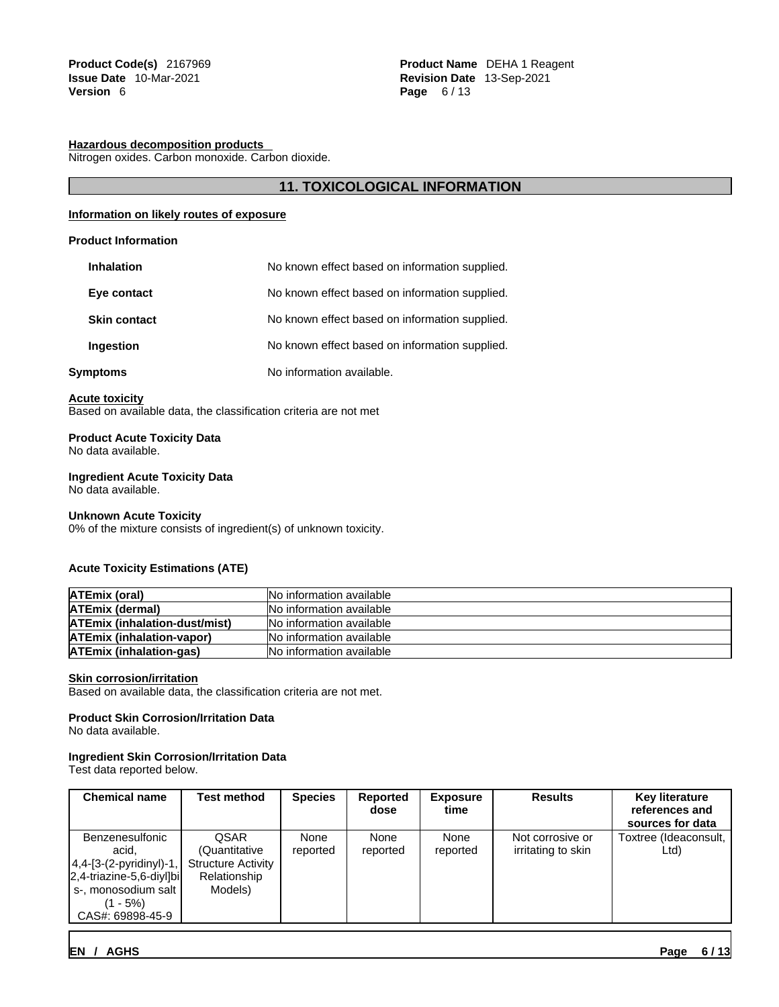### **Hazardous decomposition products**

Nitrogen oxides. Carbon monoxide. Carbon dioxide.

### **11. TOXICOLOGICAL INFORMATION**

### **Information on likely routes of exposure**

### **Product Information**

| <b>Inhalation</b>   | No known effect based on information supplied. |
|---------------------|------------------------------------------------|
| Eye contact         | No known effect based on information supplied. |
| <b>Skin contact</b> | No known effect based on information supplied. |
| <b>Ingestion</b>    | No known effect based on information supplied. |
| Symptoms            | No information available.                      |

#### **Acute toxicity**

Based on available data, the classification criteria are not met

#### **Product Acute Toxicity Data** No data available.

### **Ingredient Acute Toxicity Data**

No data available.

#### **Unknown Acute Toxicity**

0% of the mixture consists of ingredient(s) of unknown toxicity.

### **Acute Toxicity Estimations (ATE)**

| <b>ATEmix (oral)</b>                 | INo information available       |
|--------------------------------------|---------------------------------|
| <b>ATEmix (dermal)</b>               | INo information available       |
| <b>ATEmix (inhalation-dust/mist)</b> | <b>No information available</b> |
| <b>ATEmix (inhalation-vapor)</b>     | No information available        |
| <b>ATEmix (inhalation-gas)</b>       | No information available        |

### **Skin corrosion/irritation**

Based on available data, the classification criteria are not met.

### **Product Skin Corrosion/Irritation Data**

No data available.

### **Ingredient Skin Corrosion/Irritation Data**

Test data reported below.

| <b>Chemical name</b>                                                                                                                              | Test method                                                                          | <b>Species</b>   | Reported<br>dose | <b>Exposure</b><br>time | <b>Results</b>                         | <b>Key literature</b><br>references and<br>sources for data |
|---------------------------------------------------------------------------------------------------------------------------------------------------|--------------------------------------------------------------------------------------|------------------|------------------|-------------------------|----------------------------------------|-------------------------------------------------------------|
| Benzenesulfonic<br>acid.<br>$ 4,4-[3-(2-pyridiny)]-1,$<br>$ 2,4$ -triazine-5,6-diyl]bi<br>  s-, monosodium salt  <br>(1 - 5%)<br>CAS#: 69898-45-9 | <b>QSAR</b><br>(Quantitative<br><b>Structure Activity</b><br>Relationship<br>Models) | None<br>reported | None<br>reported | None<br>reported        | Not corrosive or<br>irritating to skin | Toxtree (Ideaconsult,<br>Ltd)                               |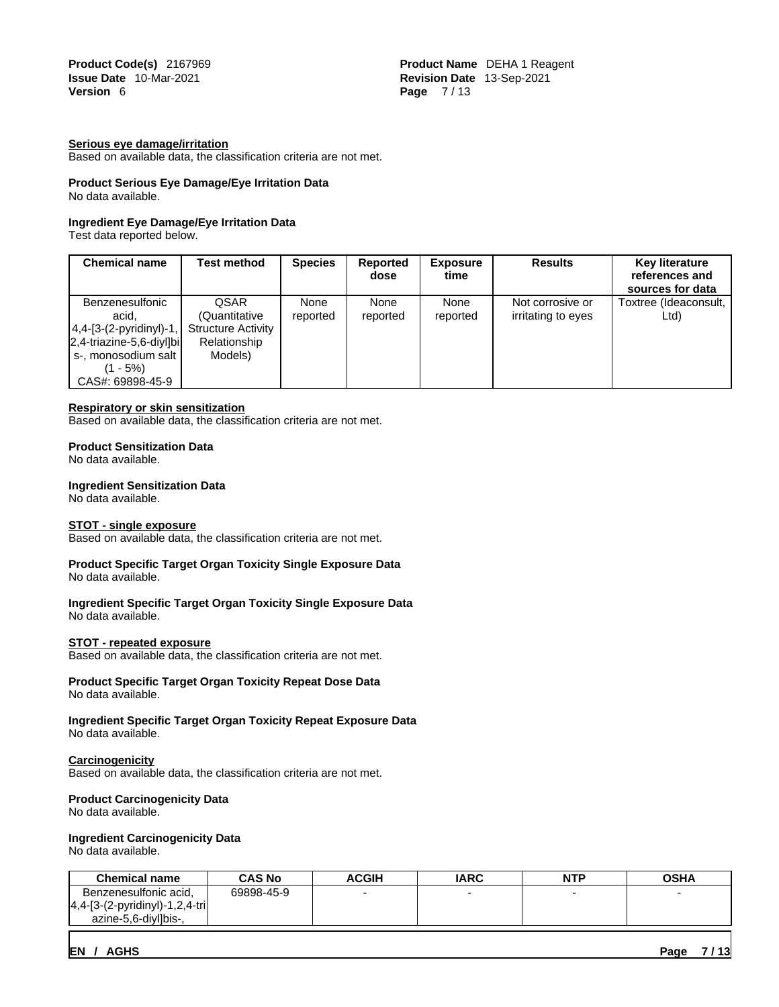**Product Code(s)** 2167969 **Product Name**  Product Name **DEHA 1 Reagent**<br> **Product Name 10-Mar-2021 Product Name in Product Name 13-Sep-2021 Issue Date** 10-Mar-2021 **Revision Date** 13-Sep-2021 **Page 7/13** 

### **Serious eye damage/irritation**

Based on available data, the classification criteria are not met.

## **Product Serious Eye Damage/Eye Irritation Data**

No data available.

### **Ingredient Eye Damage/Eye Irritation Data**

Test data reported below.

| <b>Chemical name</b>                                                                                                                           | Test method                                                                   | <b>Species</b>   | <b>Reported</b><br>dose | <b>Exposure</b><br>time | <b>Results</b>                         | <b>Key literature</b><br>references and<br>sources for data |
|------------------------------------------------------------------------------------------------------------------------------------------------|-------------------------------------------------------------------------------|------------------|-------------------------|-------------------------|----------------------------------------|-------------------------------------------------------------|
| Benzenesulfonic<br>acid.<br>$ 4,4-[3-(2-pyridinyl)-1, $<br>$ 2,4$ -triazine-5,6-diyl]bi<br>s-, monosodium salt<br>(1 - 5%)<br>CAS#: 69898-45-9 | QSAR<br>(Quantitative<br><b>Structure Activity</b><br>Relationship<br>Models) | None<br>reported | None<br>reported        | None<br>reported        | Not corrosive or<br>irritating to eyes | Toxtree (Ideaconsult,<br>Ltd)                               |

#### **Respiratory or skin sensitization**

Based on available data, the classification criteria are not met.

#### **Product Sensitization Data**

No data available.

### **Ingredient Sensitization Data**

No data available.

#### **STOT - single exposure**

Based on available data, the classification criteria are not met.

#### **Product Specific Target Organ Toxicity Single Exposure Data** No data available.

#### **Ingredient Specific Target Organ Toxicity Single Exposure Data** No data available.

#### **STOT - repeated exposure**

Based on available data, the classification criteria are not met.

#### **Product Specific Target Organ Toxicity Repeat Dose Data** No data available.

#### **Ingredient Specific Target Organ Toxicity Repeat Exposure Data** No data available.

#### **Carcinogenicity**

Based on available data, the classification criteria are not met.

#### **Product Carcinogenicity Data**

No data available.

### **Ingredient Carcinogenicity Data**

No data available.

| <b>Chemical name</b>               | <b>CAS No</b> | <b>ACGIH</b> | <b>IARC</b> | NTP | <b>OSHA</b> |
|------------------------------------|---------------|--------------|-------------|-----|-------------|
| Benzenesulfonic acid,              | 69898-45-9    |              |             |     |             |
| $ 4,4-[3-(2-pyridiny]-1,2,4-tri] $ |               |              |             |     |             |
| azine-5.6-divilbis-.               |               |              |             |     |             |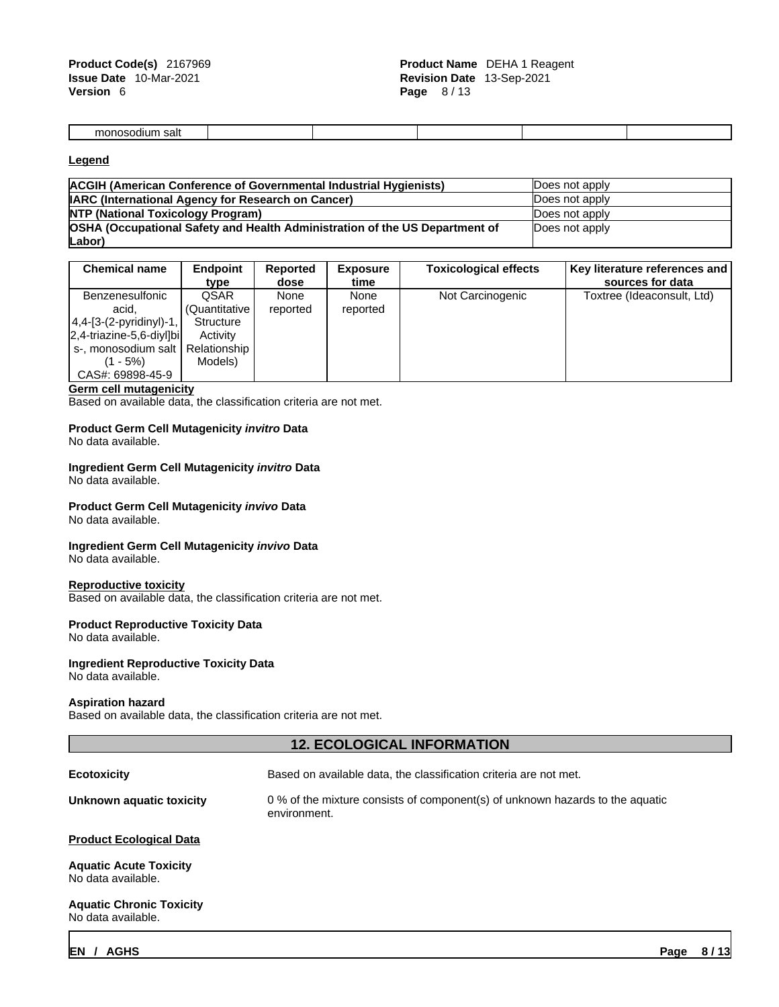| monosodium<br>salt |  |  |  |
|--------------------|--|--|--|

### **Legend**

| <b>ACGIH (American Conference of Governmental Industrial Hygienists)</b>    | Does not apply |
|-----------------------------------------------------------------------------|----------------|
| <b>IARC (International Agency for Research on Cancer)</b>                   | Does not apply |
| <b>NTP (National Toxicology Program)</b>                                    | Does not apply |
| OSHA (Occupational Safety and Health Administration of the US Department of | Does not apply |
| Labor)                                                                      |                |

| <b>Chemical name</b>         | <b>Endpoint</b> | Reported | <b>Exposure</b> | <b>Toxicological effects</b> | Key literature references and |
|------------------------------|-----------------|----------|-----------------|------------------------------|-------------------------------|
|                              | type            | dose     | time            |                              | sources for data              |
| Benzenesulfonic              | QSAR            | None     | None            | Not Carcinogenic             | Toxtree (Ideaconsult, Ltd)    |
| acid.                        | (Quantitative I | reported | reported        |                              |                               |
| $ 4,4-[3-(2-pyridiny)-1, $   | Structure       |          |                 |                              |                               |
| $ 2,4$ -triazine-5,6-divilbi | Activity        |          |                 |                              |                               |
| s-, monosodium salt          | Relationship    |          |                 |                              |                               |
| (1 - 5%)                     | Models)         |          |                 |                              |                               |
| CAS#: 69898-45-9             |                 |          |                 |                              |                               |

#### **Germ cell mutagenicity**

Based on available data, the classification criteria are not met.

### **Product Germ Cell Mutagenicity** *invitro* **Data**

No data available.

## **Ingredient Germ Cell Mutagenicity** *invitro* **Data**

No data available.

#### **Product Germ Cell Mutagenicity** *invivo* **Data** No data available.

## **Ingredient Germ Cell Mutagenicity** *invivo* **Data**

No data available.

### **Reproductive toxicity**

Based on available data, the classification criteria are not met.

#### **Product Reproductive Toxicity Data**

No data available.

### **Ingredient Reproductive Toxicity Data**

No data available.

### **Aspiration hazard**

Based on available data, the classification criteria are not met.

## **12. ECOLOGICAL INFORMATION**

| <b>Ecotoxicity</b>                                    | Based on available data, the classification criteria are not met.                             |
|-------------------------------------------------------|-----------------------------------------------------------------------------------------------|
| Unknown aquatic toxicity                              | 0 % of the mixture consists of component(s) of unknown hazards to the aquatic<br>environment. |
| <b>Product Ecological Data</b>                        |                                                                                               |
| <b>Aquatic Acute Toxicity</b><br>No data available.   |                                                                                               |
| <b>Aquatic Chronic Toxicity</b><br>No data available. |                                                                                               |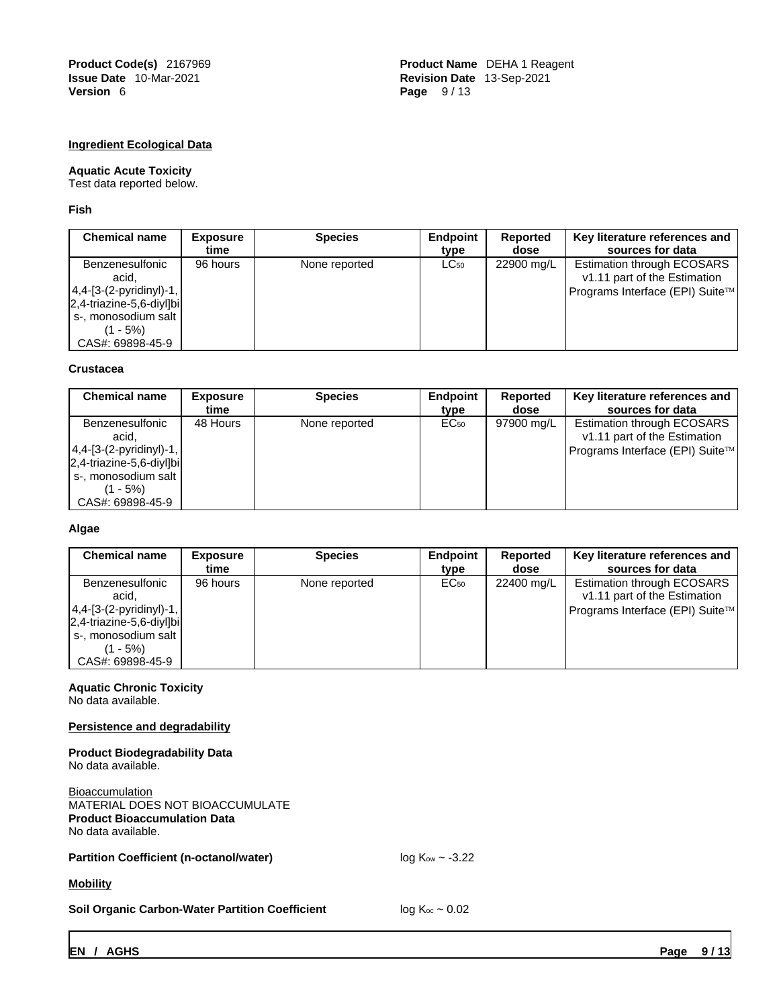**Product Code(s)** 2167969 **Product Name** DEHA 1 Reagent **Issue Date** 10-Mar-2021 **Revision Date** 13-Sep-2021 **Page** 9/13

### **Ingredient Ecological Data**

#### **Aquatic Acute Toxicity**

Test data reported below.

**Fish**

| <b>Chemical name</b>                                                                                                                              | <b>Exposure</b><br>time | <b>Species</b> | Endpoint<br>tvpe | Reported<br>dose | Key literature references and<br>sources for data                                                    |
|---------------------------------------------------------------------------------------------------------------------------------------------------|-------------------------|----------------|------------------|------------------|------------------------------------------------------------------------------------------------------|
| Benzenesulfonic<br>acid,<br>$ 4,4-[3-(2-pyridiny)]-1,$<br>$ 2,4$ -triazine-5,6-divilbi<br>  s-, monosodium salt  <br>(1 - 5%)<br>CAS#: 69898-45-9 | 96 hours                | None reported  | $LC_{50}$        | 22900 mg/L       | <b>Estimation through ECOSARS</b><br>v1.11 part of the Estimation<br>Programs Interface (EPI) Suite™ |

### **Crustacea**

| <b>Chemical name</b>         | Exposure | <b>Species</b> | Endpoint         | Reported   | Key literature references and     |
|------------------------------|----------|----------------|------------------|------------|-----------------------------------|
|                              | time     |                | tvpe             | dose       | sources for data                  |
| Benzenesulfonic              | 48 Hours | None reported  | EC <sub>50</sub> | 97900 mg/L | <b>Estimation through ECOSARS</b> |
| acid,                        |          |                |                  |            | v1.11 part of the Estimation      |
| $ 4,4-[3-(2-pyridiny)]-1,$   |          |                |                  |            | Programs Interface (EPI) Suite™   |
| $ 2,4$ -triazine-5,6-diyl]bi |          |                |                  |            |                                   |
| s-, monosodium salt          |          |                |                  |            |                                   |
| (1 - 5%)                     |          |                |                  |            |                                   |
| CAS#: 69898-45-9             |          |                |                  |            |                                   |

### **Algae**

| <b>Chemical name</b>                                                                                                                                  | <b>Exposure</b><br>time | <b>Species</b> | Endpoint<br>tvpe | Reported<br>dose | Key literature references and<br>sources for data                                                    |
|-------------------------------------------------------------------------------------------------------------------------------------------------------|-------------------------|----------------|------------------|------------------|------------------------------------------------------------------------------------------------------|
| Benzenesulfonic<br>acid.<br>$ 4,4-[3-(2-pyridinyl)-1, $<br>$ 2,4$ -triazine-5,6-diyl $ b $<br>  s-, monosodium salt  <br>(1 - 5%)<br>CAS#: 69898-45-9 | 96 hours                | None reported  | EC <sub>50</sub> | 22400 mg/L       | <b>Estimation through ECOSARS</b><br>v1.11 part of the Estimation<br>Programs Interface (EPI) Suite™ |

## **Aquatic Chronic Toxicity**

No data available.

### **Persistence and degradability**

**Product Biodegradability Data** No data available.

Bioaccumulation MATERIAL DOES NOT BIOACCUMULATE **Product Bioaccumulation Data** No data available.

### **Partition Coefficient (n-octanol/water)** log K<sub>ow</sub> ~ -3.22

**Mobility**

**Soil Organic Carbon-Water Partition Coefficient** log K<sub>oc</sub> ~ 0.02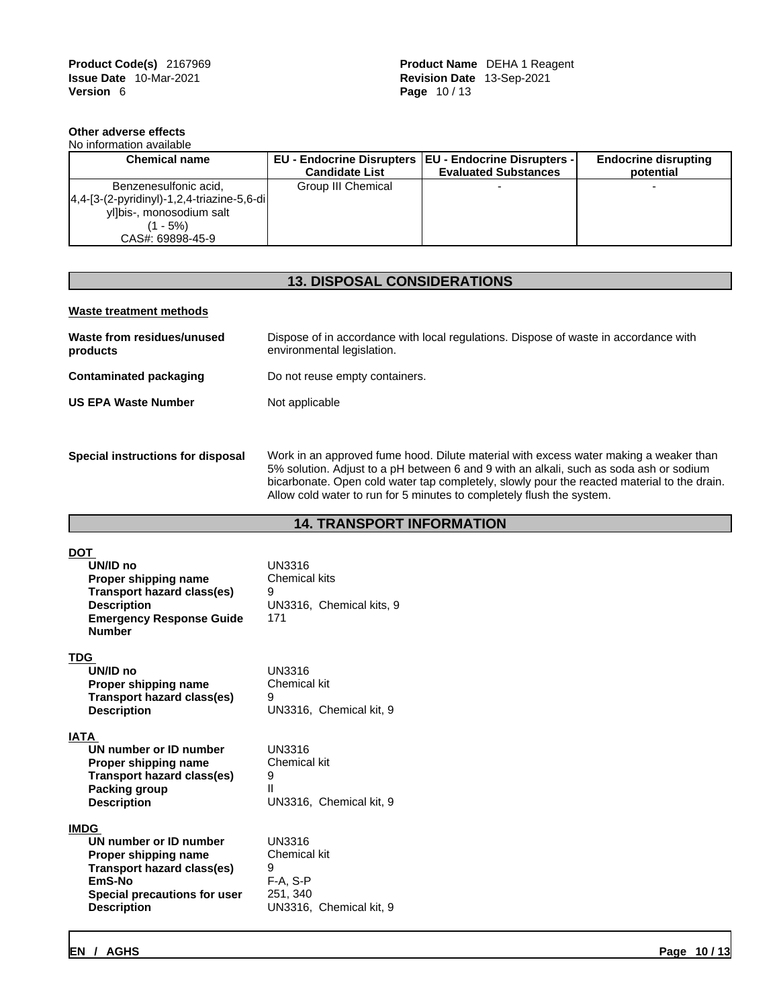### **Other adverse effects**

| No information available                       |                       |                                                         |                             |
|------------------------------------------------|-----------------------|---------------------------------------------------------|-----------------------------|
| <b>Chemical name</b>                           |                       | EU - Endocrine Disrupters   EU - Endocrine Disrupters - | <b>Endocrine disrupting</b> |
|                                                | <b>Candidate List</b> | <b>Evaluated Substances</b>                             | potential                   |
| Benzenesulfonic acid,                          | Group III Chemical    |                                                         |                             |
| $ 4,4-[3-(2-pyridiny])-1,2,4-triazine-5,6-di $ |                       |                                                         |                             |
| yl]bis-, monosodium salt                       |                       |                                                         |                             |
| $(1 - 5\%)$                                    |                       |                                                         |                             |
| CAS#: 69898-45-9                               |                       |                                                         |                             |

## **13. DISPOSAL CONSIDERATIONS**

### **Waste treatment methods**

| Waste from residues/unused<br>products | Dispose of in accordance with local regulations. Dispose of waste in accordance with<br>environmental legislation. |
|----------------------------------------|--------------------------------------------------------------------------------------------------------------------|
| Contaminated packaging                 | Do not reuse empty containers.                                                                                     |
| <b>US EPA Waste Number</b>             | Not applicable                                                                                                     |
|                                        |                                                                                                                    |
| Special instructions for disposal      | Work in an approved fume hood. Dilute material with excess water making a weaker than                              |

5% solution. Adjust to a pH between 6 and 9 with an alkali, such as soda ash or sodium bicarbonate. Open cold water tap completely, slowly pour the reacted material to the drain. Allow cold water to run for 5 minutes to completely flush the system.

### **14. TRANSPORT INFORMATION**

| DOT<br>UN/ID no<br>Proper shipping name<br>Transport hazard class(es)<br><b>Description</b><br><b>Emergency Response Guide</b><br><b>Number</b>             | UN3316<br>Chemical kits<br>9<br>UN3316, Chemical kits, 9<br>171                         |
|-------------------------------------------------------------------------------------------------------------------------------------------------------------|-----------------------------------------------------------------------------------------|
| TDG<br>UN/ID no<br>Proper shipping name<br>Transport hazard class(es)<br><b>Description</b>                                                                 | <b>UN3316</b><br>Chemical kit<br>9<br>UN3316, Chemical kit, 9                           |
| <b>IATA</b><br>UN number or ID number<br>Proper shipping name<br><b>Transport hazard class(es)</b><br>Packing group<br><b>Description</b>                   | <b>UN3316</b><br>Chemical kit<br>9<br>Ш<br>UN3316, Chemical kit, 9                      |
| <b>IMDG</b><br>UN number or ID number<br>Proper shipping name<br>Transport hazard class(es)<br>EmS-No<br>Special precautions for user<br><b>Description</b> | <b>UN3316</b><br>Chemical kit<br>9<br>$F-A. S-P$<br>251, 340<br>UN3316, Chemical kit, 9 |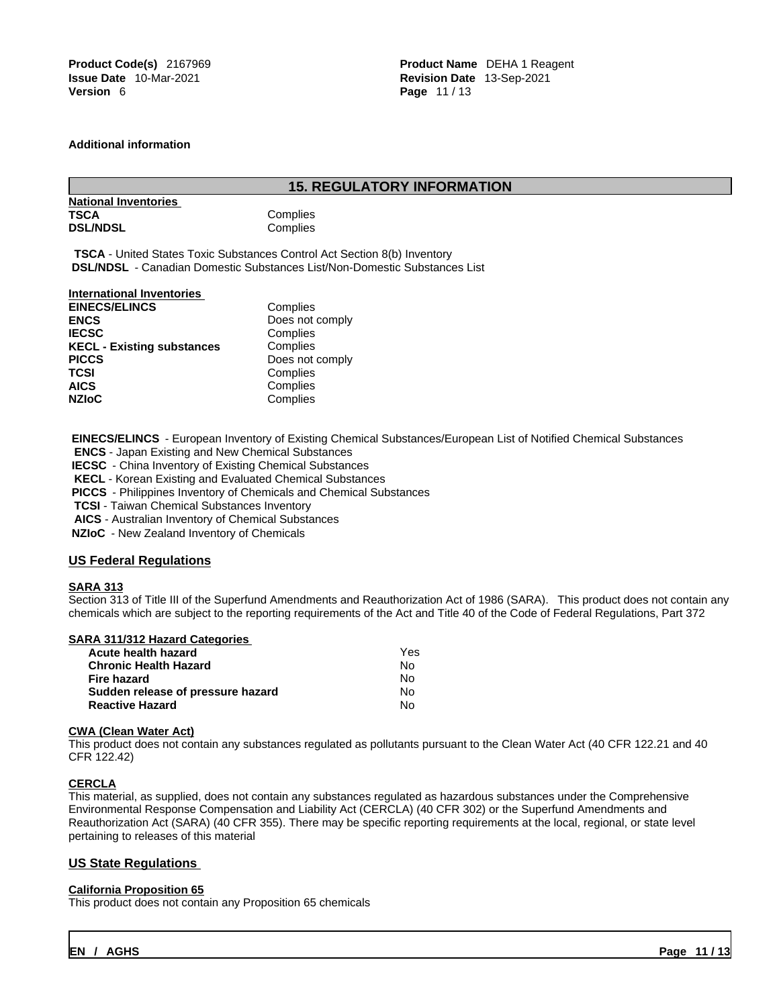**Product Code(s)** 2167969 **Product Name** DEHA 1 Reagent **Issue Date** 10-Mar-2021 **Revision Date** 13-Sep-2021 **Page 11/13** 

### **Additional information**

### **15. REGULATORY INFORMATION**

| <b>National Inventories</b> |      |
|-----------------------------|------|
| TSCA                        | Comp |
| <b>DSL/NDSL</b>             | Comp |

Complies Complies

**TSCA** - United States Toxic Substances Control Act Section 8(b) Inventory  **DSL/NDSL** - Canadian Domestic Substances List/Non-Domestic Substances List

### **International Inventories**

| <b>EINECS/ELINCS</b>              | Complies        |
|-----------------------------------|-----------------|
| <b>ENCS</b>                       | Does not comply |
| <b>IECSC</b>                      | Complies        |
| <b>KECL - Existing substances</b> | Complies        |
| <b>PICCS</b>                      | Does not comply |
| TCSI                              | Complies        |
| AICS                              | Complies        |
| <b>NZIoC</b>                      | Complies        |
|                                   |                 |

 **EINECS/ELINCS** - European Inventory of Existing Chemical Substances/European List of Notified Chemical Substances

**ENCS** - Japan Existing and New Chemical Substances

**IECSC** - China Inventory of Existing Chemical Substances

**KECL** - Korean Existing and Evaluated Chemical Substances

 **PICCS** - Philippines Inventory of Chemicals and Chemical Substances

**TCSI** - Taiwan Chemical Substances Inventory

**AICS** - Australian Inventory of Chemical Substances

 **NZIoC** - New Zealand Inventory of Chemicals

### **US Federal Regulations**

#### **SARA 313**

Section 313 of Title III of the Superfund Amendments and Reauthorization Act of 1986 (SARA). This product does not contain any chemicals which are subject to the reporting requirements of the Act and Title 40 of the Code of Federal Regulations, Part 372

### **SARA 311/312 Hazard Categories**

| Yes |  |
|-----|--|
| No. |  |
| N٥  |  |
| No. |  |
| N٥  |  |
|     |  |

#### **CWA (Clean WaterAct)**

This product does not contain any substances regulated as pollutants pursuant to the Clean Water Act (40 CFR 122.21 and 40 CFR 122.42)

### **CERCLA**

This material, as supplied, does not contain any substances regulated as hazardous substances under the Comprehensive Environmental Response Compensation and Liability Act (CERCLA) (40 CFR 302) or the Superfund Amendments and Reauthorization Act (SARA) (40 CFR 355). There may be specific reporting requirements at the local, regional, or state level pertaining to releases of this material

### **US State Regulations**

### **California Proposition 65**

This product does not contain any Proposition 65 chemicals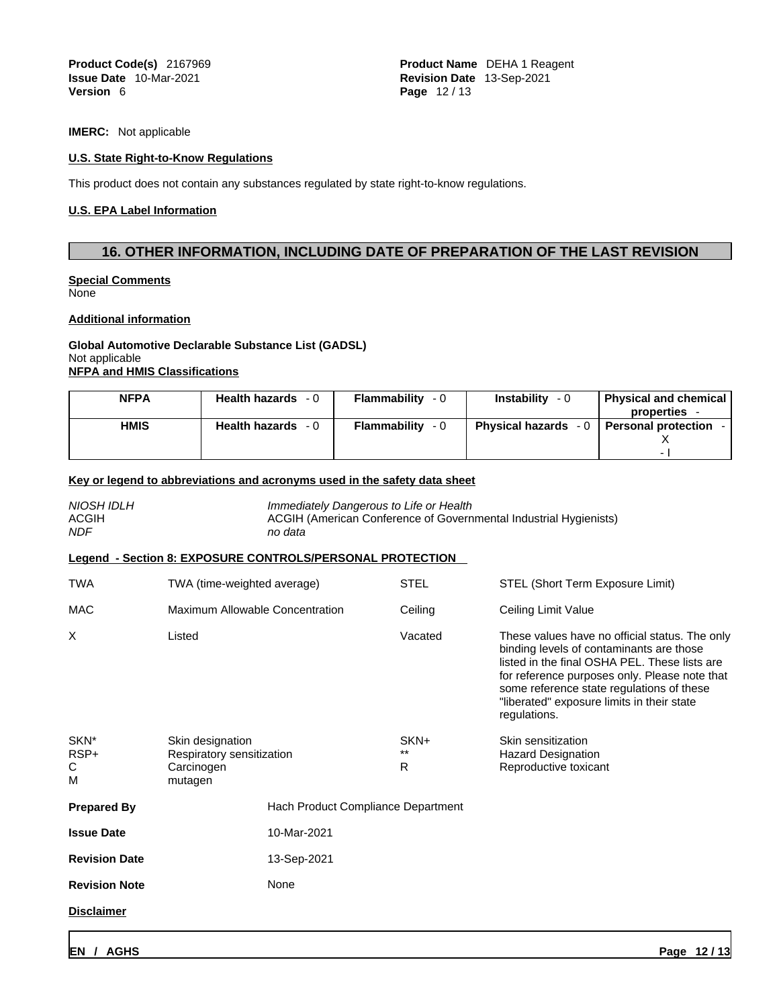**Product Code(s)** 2167969 **Product Name** DEHA 1 Reagent **Issue Date** 10-Mar-2021 **Revision Date** 13-Sep-2021 **Page 12/13** 

**IMERC:** Not applicable

### **U.S. State Right-to-Know Regulations**

This product does not contain any substances regulated by state right-to-know regulations.

### **U.S. EPA Label Information**

## **16. OTHER INFORMATION, INCLUDING DATE OF PREPARATION OF THE LAST REVISION**

#### **Special Comments** None

#### **Additional information**

### **Global Automotive Declarable Substance List (GADSL)** Not applicable **NFPA and HMIS Classifications**

| <b>NFPA</b> | <b>Health hazards</b><br>- 0 | Flammability<br>- 0      | <b>Instability</b><br>$-0$ | <b>Physical and chemical</b>                 |
|-------------|------------------------------|--------------------------|----------------------------|----------------------------------------------|
|             |                              |                          |                            | properties                                   |
| <b>HMIS</b> | <b>Health hazards</b><br>- 0 | <b>Flammability</b> $-0$ |                            | Physical hazards - 0   Personal protection - |
|             |                              |                          |                            |                                              |
|             |                              |                          |                            | -                                            |

### **Key or legend to abbreviations and acronyms used in the safety data sheet**

| NIOSH IDLH<br><b>ACGIH</b><br><b>NDF</b> | no data                                                   | Immediately Dangerous to Life or Health<br>ACGIH (American Conference of Governmental Industrial Hygienists) |                                                                                                                                                                                                                                                                                                         |  |
|------------------------------------------|-----------------------------------------------------------|--------------------------------------------------------------------------------------------------------------|---------------------------------------------------------------------------------------------------------------------------------------------------------------------------------------------------------------------------------------------------------------------------------------------------------|--|
|                                          | Legend - Section 8: EXPOSURE CONTROLS/PERSONAL PROTECTION |                                                                                                              |                                                                                                                                                                                                                                                                                                         |  |
| <b>TWA</b>                               | TWA (time-weighted average)                               | <b>STEL</b>                                                                                                  | STEL (Short Term Exposure Limit)                                                                                                                                                                                                                                                                        |  |
| <b>MAC</b>                               | Maximum Allowable Concentration                           | Ceiling                                                                                                      | Ceiling Limit Value                                                                                                                                                                                                                                                                                     |  |
| X                                        | Listed                                                    | Vacated                                                                                                      | These values have no official status. The only<br>binding levels of contaminants are those<br>listed in the final OSHA PEL. These lists are<br>for reference purposes only. Please note that<br>some reference state regulations of these<br>"liberated" exposure limits in their state<br>regulations. |  |
| SKN <sup>*</sup>                         | Skin designation                                          | SKN+                                                                                                         | Skin sensitization                                                                                                                                                                                                                                                                                      |  |
| RSP+<br>С<br>M                           | Respiratory sensitization<br>Carcinogen<br>mutagen        | $***$<br>R                                                                                                   | <b>Hazard Designation</b><br>Reproductive toxicant                                                                                                                                                                                                                                                      |  |
| <b>Prepared By</b>                       | Hach Product Compliance Department                        |                                                                                                              |                                                                                                                                                                                                                                                                                                         |  |
| <b>Issue Date</b>                        | 10-Mar-2021                                               |                                                                                                              |                                                                                                                                                                                                                                                                                                         |  |
| <b>Revision Date</b>                     | 13-Sep-2021                                               |                                                                                                              |                                                                                                                                                                                                                                                                                                         |  |
| <b>Revision Note</b>                     | None                                                      |                                                                                                              |                                                                                                                                                                                                                                                                                                         |  |
| <b>Disclaimer</b>                        |                                                           |                                                                                                              |                                                                                                                                                                                                                                                                                                         |  |
|                                          |                                                           |                                                                                                              |                                                                                                                                                                                                                                                                                                         |  |